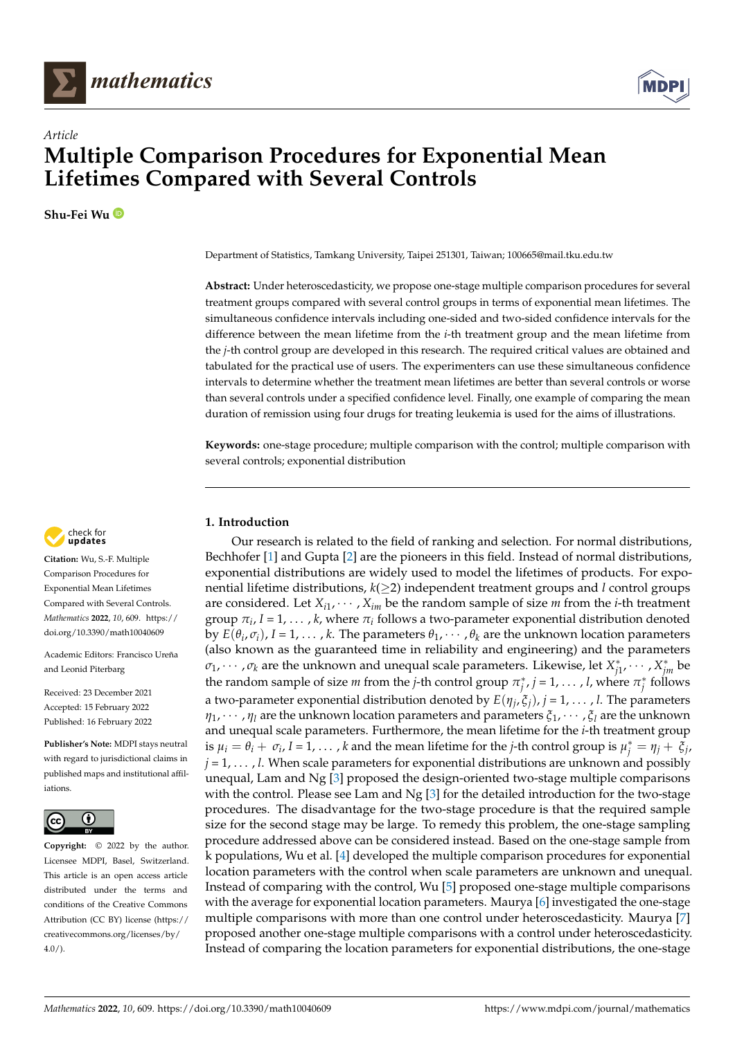



# **Multiple Comparison Procedures for Exponential Mean Lifetimes Compared with Several Controls**

**Shu-Fei Wu**

*Article*



**Abstract:** Under heteroscedasticity, we propose one-stage multiple comparison procedures for several treatment groups compared with several control groups in terms of exponential mean lifetimes. The simultaneous confidence intervals including one-sided and two-sided confidence intervals for the difference between the mean lifetime from the *i*-th treatment group and the mean lifetime from the *j*-th control group are developed in this research. The required critical values are obtained and tabulated for the practical use of users. The experimenters can use these simultaneous confidence intervals to determine whether the treatment mean lifetimes are better than several controls or worse than several controls under a specified confidence level. Finally, one example of comparing the mean duration of remission using four drugs for treating leukemia is used for the aims of illustrations.

**Keywords:** one-stage procedure; multiple comparison with the control; multiple comparison with several controls; exponential distribution

### **1. Introduction**

Our research is related to the field of ranking and selection. For normal distributions, Bechhofer [\[1\]](#page-8-0) and Gupta [\[2\]](#page-8-1) are the pioneers in this field. Instead of normal distributions, exponential distributions are widely used to model the lifetimes of products. For exponential lifetime distributions, *k*(≥2) independent treatment groups and *l* control groups are considered. Let  $X_{i1}, \cdots, X_{im}$  be the random sample of size *m* from the *i*-th treatment group *π<sup>i</sup>* , *I* = 1, . . . , *k*, where *π<sup>i</sup>* follows a two-parameter exponential distribution denoted by  $E(\theta_i, \sigma_i)$ ,  $I = 1, \ldots, k$ . The parameters  $\theta_1, \cdots, \theta_k$  are the unknown location parameters (also known as the guaranteed time in reliability and engineering) and the parameters  $\sigma_1$ ,  $\dots$  ,  $\sigma_k$  are the unknown and unequal scale parameters. Likewise, let  $X_{j1}^*$ ,  $\dots$  ,  $X_{jm}^*$  be the random sample of size *m* from the *j*-th control group  $\pi_j^*$ , *j* = 1, . . . , *l*, where  $\pi_j^*$  follows a two-parameter exponential distribution denoted by *E*(*η<sup>j</sup>* , *ξj*), *j* = 1, . . . , *l*. The parameters *η*1, · · · , *η<sup>l</sup>* are the unknown location parameters and parameters *ξ*1, · · · , *ξ<sup>l</sup>* are the unknown and unequal scale parameters. Furthermore, the mean lifetime for the *i*-th treatment group is  $\mu_i = \theta_i + \sigma_i$ ,  $I = 1, \ldots, k$  and the mean lifetime for the *j*-th control group is  $\mu_j^* = \eta_j + \bar{\xi}_j$ ,  $j = 1, \ldots, l$ . When scale parameters for exponential distributions are unknown and possibly unequal, Lam and Ng [\[3\]](#page-8-2) proposed the design-oriented two-stage multiple comparisons with the control. Please see Lam and Ng [\[3\]](#page-8-2) for the detailed introduction for the two-stage procedures. The disadvantage for the two-stage procedure is that the required sample size for the second stage may be large. To remedy this problem, the one-stage sampling procedure addressed above can be considered instead. Based on the one-stage sample from k populations, Wu et al. [\[4\]](#page-8-3) developed the multiple comparison procedures for exponential location parameters with the control when scale parameters are unknown and unequal. Instead of comparing with the control, Wu [\[5\]](#page-8-4) proposed one-stage multiple comparisons with the average for exponential location parameters. Maurya [\[6\]](#page-8-5) investigated the one-stage multiple comparisons with more than one control under heteroscedasticity. Maurya [\[7\]](#page-8-6) proposed another one-stage multiple comparisons with a control under heteroscedasticity. Instead of comparing the location parameters for exponential distributions, the one-stage



**Citation:** Wu, S.-F. Multiple Comparison Procedures for Exponential Mean Lifetimes Compared with Several Controls. *Mathematics* **2022**, *10*, 609. [https://](https://doi.org/10.3390/math10040609) [doi.org/10.3390/math10040609](https://doi.org/10.3390/math10040609)

Academic Editors: Francisco Ureña and Leonid Piterbarg

Received: 23 December 2021 Accepted: 15 February 2022 Published: 16 February 2022

**Publisher's Note:** MDPI stays neutral with regard to jurisdictional claims in published maps and institutional affiliations.



**Copyright:** © 2022 by the author. Licensee MDPI, Basel, Switzerland. This article is an open access article distributed under the terms and conditions of the Creative Commons Attribution (CC BY) license [\(https://](https://creativecommons.org/licenses/by/4.0/) [creativecommons.org/licenses/by/](https://creativecommons.org/licenses/by/4.0/)  $4.0/$ ).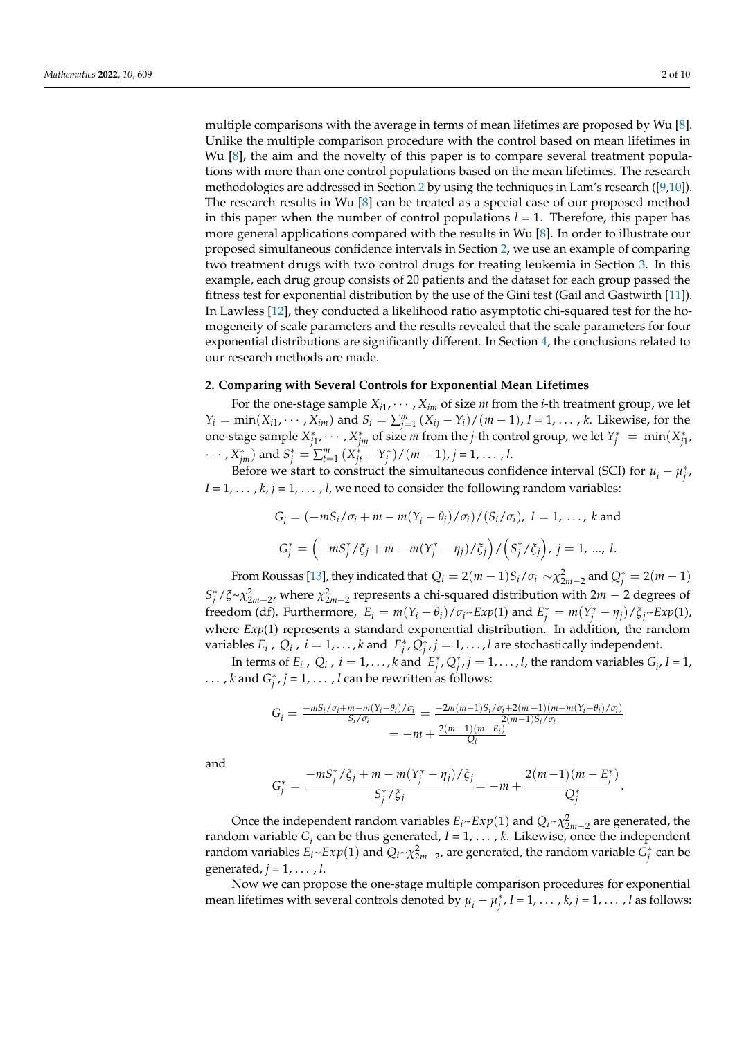multiple comparisons with the average in terms of mean lifetimes are proposed by Wu [\[8\]](#page-8-7). Unlike the multiple comparison procedure with the control based on mean lifetimes in Wu [\[8\]](#page-8-7), the aim and the novelty of this paper is to compare several treatment populations with more than one control populations based on the mean lifetimes. The research methodologies are addressed in Section [2](#page-1-0) by using the techniques in Lam's research ([\[9,](#page-8-8)[10\]](#page-8-9)). The research results in Wu [\[8\]](#page-8-7) can be treated as a special case of our proposed method in this paper when the number of control populations  $l = 1$ . Therefore, this paper has more general applications compared with the results in Wu [\[8\]](#page-8-7). In order to illustrate our proposed simultaneous confidence intervals in Section [2,](#page-1-0) we use an example of comparing two treatment drugs with two control drugs for treating leukemia in Section [3.](#page-4-0) In this example, each drug group consists of 20 patients and the dataset for each group passed the fitness test for exponential distribution by the use of the Gini test (Gail and Gastwirth [\[11\]](#page-8-10)). In Lawless [\[12\]](#page-9-0), they conducted a likelihood ratio asymptotic chi-squared test for the homogeneity of scale parameters and the results revealed that the scale parameters for four exponential distributions are significantly different. In Section [4,](#page-6-0) the conclusions related to our research methods are made.

#### <span id="page-1-0"></span>**2. Comparing with Several Controls for Exponential Mean Lifetimes**

For the one-stage sample  $X_{i1}, \cdots, X_{im}$  of size  $m$  from the *i*-th treatment group, we let *Y*<sup>*i*</sup> = min(*X*<sub>*i*1</sub>, ⋅ ⋅ ⋅ *, X<sub>im</sub>*) and *S*<sup>*i*</sup> =  $\sum_{j=1}^{m}$  (*X<sub>ij</sub>* − *Y<sub>i</sub>*)/(*m* − 1), *I* = 1, . . . , *k*. Likewise, for the one-stage sample  $X_{j1}^*$ ,  $\dots$  ,  $X_{jm}^*$  of size *m* from the *j*-th control group, we let  $Y_j^* = \min(X_{j1}^*$ ,  $\cdots$  ,  $X_{jm}^*$ ) and  $S_j^* = \sum_{t=1}^m (X_{jt}^* - Y_j^*) / (m-1)$ ,  $j = 1, \ldots, l$ .

Before we start to construct the simultaneous confidence interval (SCI) for  $\mu_i - \mu_j^*$ ,  $I = 1, \ldots, k, j = 1, \ldots, l$ , we need to consider the following random variables:

$$
G_i = \left(-mS_i/\sigma_i + m - m(Y_i - \theta_i)/\sigma_i\right) / \left(S_i/\sigma_i\right), I = 1, \dots, k \text{ and}
$$

$$
G_j^* = \left(-mS_j^* / \xi_j + m - m(Y_j^* - \eta_j) / \xi_j\right) / \left(S_j^* / \xi_j\right), j = 1, \dots, l.
$$

From Roussas [\[13\]](#page-9-1), they indicated that  $Q_i = 2(m-1)S_i/\sigma_i \sim \chi^2_{2m-2}$  and  $Q_j^* = 2(m-1)$  $S_j^*$  / $\zeta \sim \chi^2_{2m-2}$ , where  $\chi^2_{2m-2}$  represents a chi-squared distribution with 2*m* − 2 degrees of freedom (df). Furthermore,  $E_i = m(Y_i - \theta_i)/\sigma_i \sim Exp(1)$  and  $E_j^* = m(Y_j^* - \eta_j)/\zeta_j \sim Exp(1)$ , where *Exp*(1) represents a standard exponential distribution. In addition, the random variables  $E_i$ ,  $Q_i$ ,  $i = 1, ..., k$  and  $E_j^*, Q_j^*, j = 1, ..., l$  are stochastically independent.

In terms of  $E_i$ ,  $Q_i$ ,  $i = 1, ..., k$  and  $E_j^*, Q_j^*, j = 1, ..., l$ , the random variables  $G_i$ ,  $I = 1$ , ..., *k* and  $G_j^*$ , *j* = 1, ..., *l* can be rewritten as follows:

$$
G_i = \frac{-mS_i/\sigma_i + m - m(Y_i - \theta_i)/\sigma_i}{S_i/\sigma_i} = \frac{-2m(m-1)S_i/\sigma_i + 2(m-1)(m - m(Y_i - \theta_i)/\sigma_i)}{2(m-1)S_i/\sigma_i}
$$
  
= -m +  $\frac{2(m-1)(m-E_i)}{Q_i}$ 

and

$$
G_j^* = \frac{-mS_j^*/\xi_j + m - m(Y_j^* - \eta_j)/\xi_j}{S_j^*/\xi_j} = -m + \frac{2(m-1)(m - E_j^*)}{Q_j^*}.
$$

Once the independent random variables  $E_i \sim Exp(1)$  and  $Q_i \sim \chi^2_{2m-2}$  are generated, the random variable  $G_i$  can be thus generated,  $I = 1, \ldots, k$ . Likewise, once the independent random variables  $E_i$ ~ $Exp(1)$  and  $Q_i$ ~ $\chi^2_{2m-2}$ , are generated, the random variable  $G_j^*$  can be generated, *j* = 1, . . . , *l*.

Now we can propose the one-stage multiple comparison procedures for exponential mean lifetimes with several controls denoted by  $\mu_i - \mu_j^*$ ,  $I = 1, \ldots, k, j = 1, \ldots, l$  as follows: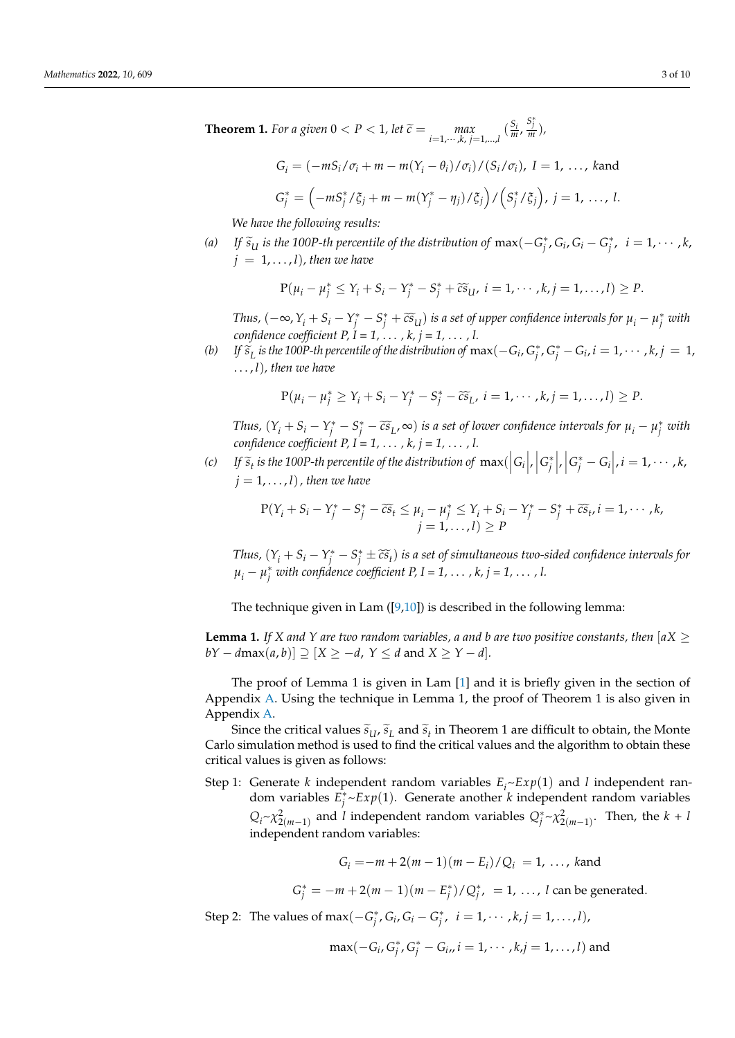**Theorem 1.** For a given  $0 < P < 1$ , let  $\widetilde{c} = \max_{i=1,\dots,k, j=1,\dots,l} (\frac{S_i}{m}, \frac{S_i^*}{m}),$ 

$$
G_i = \left(-mS_i/\sigma_i + m - m(Y_i - \theta_i)/\sigma_i\right) / \left(S_i/\sigma_i\right), I = 1, \dots, \text{ kand}
$$
  

$$
G_j^* = \left(-mS_j^* / \xi_j + m - m(Y_j^* - \eta_j) / \xi_j\right) / \left(S_j^* / \xi_j\right), j = 1, \dots, l.
$$

*We have the following results:*

*(a) If*  $\tilde{s}_U$  *is the 100P-th percentile of the distribution of*  $\max(-G_j^*, G_i, G_i - G_j^*, i = 1, \dots, k$ ,  $j = 1, \ldots, l$ , then we have

$$
P(\mu_i-\mu_j^* \leq Y_i+S_i-Y_j^*-S_j^*+\widetilde{cs}_{U}, i=1,\cdots,k, j=1,\ldots,l)\geq P.
$$

Thus,  $(-\infty, Y_i + S_i - Y_j^* - S_j^* + \widetilde{cs}_U)$  is a set of upper confidence intervals for  $\mu_i - \mu_j^*$  with *confidence coefficient P,*  $\hat{I} = 1, \ldots, k, j = 1, \ldots, l$ *.* 

(b) If  $\widetilde{s}_L$  is the 100P-th percentile of the distribution of  $\max(-G_i, G_j^*, G_j^* - G_i, i = 1, \cdots, k, j = 1,$ . . . , *l*)*, then we have*

$$
P(\mu_i - \mu_j^* \geq Y_i + S_i - Y_j^* - S_j^* - \widetilde{cs}_L, i = 1, \cdots, k, j = 1, \ldots, l) \geq P.
$$

Thus,  $(Y_i + S_i - Y_j^* - S_j^* - \widetilde{cs}_L, \infty)$  is a set of lower confidence intervals for  $\mu_i - \mu_j^*$  with *confidence coefficient P, I = 1,* . . . *, k, j = 1,* . . . *, l.*

(c) If  $\widetilde{s}_t$  is the 100P-th percentile of the distribution of  $\max(|G_i|, |G_j^*|, |G_j^* - G_i|, i = 1, \cdots, k,$  $j = 1, \ldots, l$ , then we have

$$
P(Y_i + S_i - Y_j^* - S_j^* - \widetilde{c}\widetilde{s}_t \le \mu_i - \mu_j^* \le Y_i + S_i - Y_j^* - S_j^* + \widetilde{c}\widetilde{s}_t, i = 1, \cdots, k, j = 1, \ldots, l) \ge P
$$

*Thus,*  $(Y_i + S_i - Y_i^* - S_i^* \pm \widetilde{c} \widetilde{s}_t)$  *is a set of simultaneous two-sided confidence intervals for*  $\mu_i - \mu_j^*$  *with confidence coefficient P, I = 1,* . . . *, k, j = 1,* . . . *, l.* 

The technique given in Lam  $([9,10])$  $([9,10])$  $([9,10])$  $([9,10])$  is described in the following lemma:

**Lemma 1.** *If* X and Y are two random variables, a and b are two positive constants, then  $[aX \geq 0]$  $bY - d\max(a, b)] \supseteq [X \geq -d, Y \leq d \text{ and } X \geq Y - d]$ .

The proof of Lemma 1 is given in Lam [\[1\]](#page-8-0) and it is briefly given in the section of Appendix [A.](#page-7-0) Using the technique in Lemma 1, the proof of Theorem 1 is also given in Appendix [A.](#page-7-0)

Since the critical values  $\tilde{s}_U$ ,  $\tilde{s}_L$  and  $\tilde{s}_t$  in Theorem 1 are difficult to obtain, the Monte Carlo simulation method is used to find the critical values and the algorithm to obtain these critical values is given as follows:

Step 1: Generate *k* independent random variables *E<sup>i</sup>* ~*Exp*(1) and *l* independent random variables  $E_j^* \sim Exp(1)$ . Generate another *k* independent random variables  $Q_i \sim \chi^2_{2(m-1)}$  and *l* independent random variables  $Q_j^* \sim \chi^2_{2(m-1)}$ . Then, the *k* + *l* independent random variables:

$$
G_i = -m + 2(m - 1)(m - E_i)/Q_i = 1, ..., k
$$

 $G_j^* = -m + 2(m - 1)(m - E_j^*)/Q_j^*$ , = 1, ..., *l* can be generated.

Step 2: The values of max $(-G_j^*, G_i, G_i - G_j^*, i = 1, \dots, k, j = 1, \dots, l)$ ,

$$
\max(-G_i, G_j^*, G_j^* - G_i, i = 1, \cdots, k, j = 1, \ldots, l)
$$
 and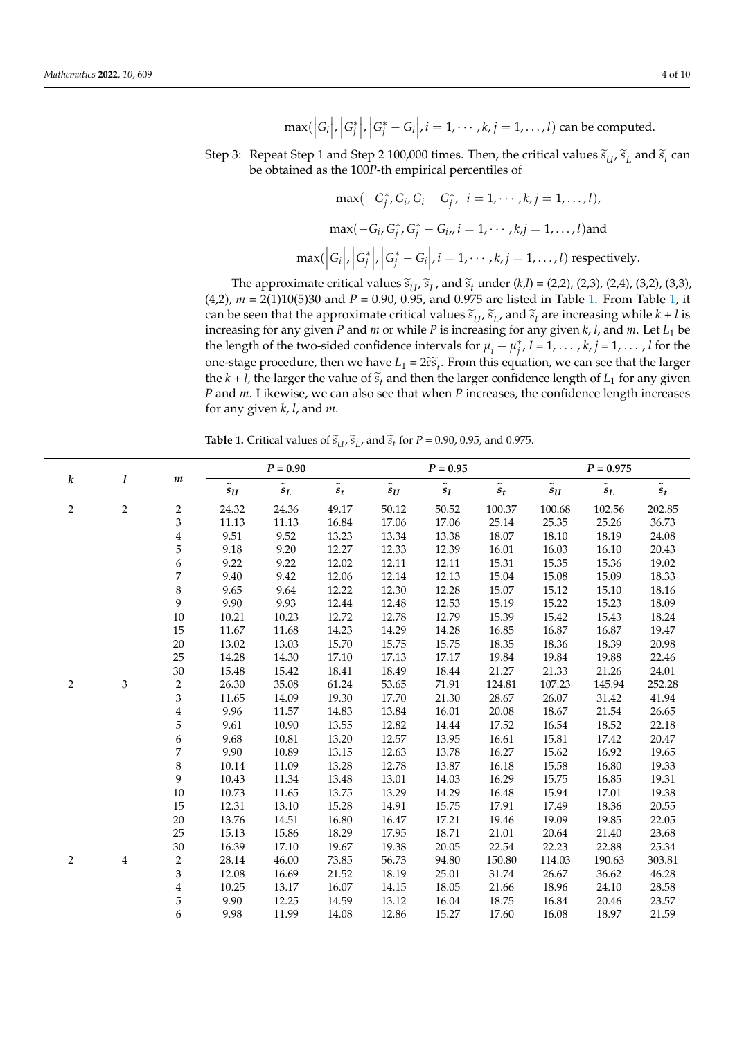$\max(\left|G_i\right|, \left|G_j^*\right|, \left|G_j^*\right|, i = 1, \cdots, k, j = 1, \ldots, l)$  can be computed.

Step 3: Repeat Step 1 and Step 2 100,000 times. Then, the critical values  $\tilde{s}_U$ ,  $\tilde{s}_L$  and  $\tilde{s}_t$  can be obtained as the 100*P*-th empirical percentiles of

$$
\max(-G_j^*, G_i, G_i - G_j^*, i = 1, \cdots, k, j = 1, \ldots, l),
$$

$$
\max(-G_i, G_j^*, G_j^* - G_i, i = 1, \cdots, k, j = 1, \ldots, l) \text{ and}
$$

$$
\max(\left|G_i\right|, \left|G_j^*\right|, \left|G_j^* - G_i\right|, i = 1, \cdots, k, j = 1, \ldots, l) \text{ respectively.}
$$

The approximate critical values  $\tilde{s}_U$ ,  $\tilde{s}_L$ , and  $\tilde{s}_t$  under (*k*,*l*) = (2,2), (2,3), (2,4), (3,2), (3,3),  $w = 2(1)10(5)20$  and  $R = 0.90$ , 0.95, and 0.975 are listed in Table 1. From Table 1. it (4,2), *m* = 2(1)10(5)30 and *P* = 0.90, 0.95, and 0.975 are listed in Table [1.](#page-4-1) From Table [1,](#page-4-1) it can be seen that the approximate critical values  $\tilde{s}_U$ ,  $\tilde{s}_L$ , and  $\tilde{s}_t$  are increasing while  $k + l$  is<br>increasing for any given *R* and *w* or while *R* is increasing for any given *k L* and *w* Let *L* he increasing for any given *P* and *m* or while *P* is increasing for any given *k*, *l*, and *m*. Let *L*<sup>1</sup> be the length of the two-sided confidence intervals for  $\mu_i - \mu_j^*$ ,  $I = 1, \ldots, k, j = 1, \ldots, l$  for the one-stage procedure, then we have  $L_1 = 2c\tilde{s}_t$ . From this equation, we can see that the larger<br>the  $k + l$  the larger the value of  $\tilde{s}$  and then the larger confidence length of L, for any given the *k* + *l*, the larger the value of  $\tilde{s}_t$  and then the larger confidence length of *L*<sub>1</sub> for any given *R* and *m*, *L* ileavies, we can also see that when *R* increases, the sonfidence length increases *P* and *m*. Likewise, we can also see that when *P* increases, the confidence length increases for any given *k*, *l*, and *m*.

**Table 1.** Critical values of  $\tilde{s}_U$ ,  $\tilde{s}_L$ , and  $\tilde{s}_t$  for  $P = 0.90$ , 0.95, and 0.975.

|                | l              | $\boldsymbol{m}$ | $P = 0.90$                        |               | $P = 0.95$    |               | $P = 0.975$                                 |               |                                  |                                             |               |
|----------------|----------------|------------------|-----------------------------------|---------------|---------------|---------------|---------------------------------------------|---------------|----------------------------------|---------------------------------------------|---------------|
| k              |                |                  | $\tilde{}$<br>$\pmb{s}_{\pmb{U}}$ | $\tilde{s}_L$ | $\tilde{s}_t$ | $\tilde{s}_U$ | $\tilde{\phantom{a}}$<br>$\boldsymbol{s}_L$ | $\tilde{s}_t$ | $\tilde{\phantom{a}}$<br>$s_{U}$ | $\tilde{\phantom{a}}$<br>$\boldsymbol{s}_L$ | $\tilde{s}_t$ |
| $\overline{c}$ | $\overline{2}$ | $\overline{c}$   | 24.32                             | 24.36         | 49.17         | 50.12         | 50.52                                       | 100.37        | 100.68                           | 102.56                                      | 202.85        |
|                |                | 3                | 11.13                             | 11.13         | 16.84         | 17.06         | 17.06                                       | 25.14         | 25.35                            | 25.26                                       | 36.73         |
|                |                | $\overline{4}$   | 9.51                              | 9.52          | 13.23         | 13.34         | 13.38                                       | 18.07         | 18.10                            | 18.19                                       | 24.08         |
|                |                | 5                | 9.18                              | 9.20          | 12.27         | 12.33         | 12.39                                       | 16.01         | 16.03                            | 16.10                                       | 20.43         |
|                |                | 6                | 9.22                              | 9.22          | 12.02         | 12.11         | 12.11                                       | 15.31         | 15.35                            | 15.36                                       | 19.02         |
|                |                | 7                | 9.40                              | 9.42          | 12.06         | 12.14         | 12.13                                       | 15.04         | 15.08                            | 15.09                                       | 18.33         |
|                |                | 8                | 9.65                              | 9.64          | 12.22         | 12.30         | 12.28                                       | 15.07         | 15.12                            | 15.10                                       | 18.16         |
|                |                | 9                | 9.90                              | 9.93          | 12.44         | 12.48         | 12.53                                       | 15.19         | 15.22                            | 15.23                                       | 18.09         |
|                |                | 10               | 10.21                             | 10.23         | 12.72         | 12.78         | 12.79                                       | 15.39         | 15.42                            | 15.43                                       | 18.24         |
|                |                | 15               | 11.67                             | 11.68         | 14.23         | 14.29         | 14.28                                       | 16.85         | 16.87                            | 16.87                                       | 19.47         |
|                |                | 20               | 13.02                             | 13.03         | 15.70         | 15.75         | 15.75                                       | 18.35         | 18.36                            | 18.39                                       | 20.98         |
|                |                | 25               | 14.28                             | 14.30         | 17.10         | 17.13         | 17.17                                       | 19.84         | 19.84                            | 19.88                                       | 22.46         |
|                |                | 30               | 15.48                             | 15.42         | 18.41         | 18.49         | 18.44                                       | 21.27         | 21.33                            | 21.26                                       | 24.01         |
| 2              | $\,$ 3 $\,$    | 2                | 26.30                             | 35.08         | 61.24         | 53.65         | 71.91                                       | 124.81        | 107.23                           | 145.94                                      | 252.28        |
|                |                | 3                | 11.65                             | 14.09         | 19.30         | 17.70         | 21.30                                       | 28.67         | 26.07                            | 31.42                                       | 41.94         |
|                |                | $\overline{4}$   | 9.96                              | 11.57         | 14.83         | 13.84         | 16.01                                       | 20.08         | 18.67                            | 21.54                                       | 26.65         |
|                |                | 5                | 9.61                              | 10.90         | 13.55         | 12.82         | 14.44                                       | 17.52         | 16.54                            | 18.52                                       | 22.18         |
|                |                | 6                | 9.68                              | 10.81         | 13.20         | 12.57         | 13.95                                       | 16.61         | 15.81                            | 17.42                                       | 20.47         |
|                |                | 7                | 9.90                              | 10.89         | 13.15         | 12.63         | 13.78                                       | 16.27         | 15.62                            | 16.92                                       | 19.65         |
|                |                | 8                | 10.14                             | 11.09         | 13.28         | 12.78         | 13.87                                       | 16.18         | 15.58                            | 16.80                                       | 19.33         |
|                |                | 9                | 10.43                             | 11.34         | 13.48         | 13.01         | 14.03                                       | 16.29         | 15.75                            | 16.85                                       | 19.31         |
|                |                | $10\,$           | 10.73                             | 11.65         | 13.75         | 13.29         | 14.29                                       | 16.48         | 15.94                            | 17.01                                       | 19.38         |
|                |                | 15               | 12.31                             | 13.10         | 15.28         | 14.91         | 15.75                                       | 17.91         | 17.49                            | 18.36                                       | 20.55         |
|                |                | 20               | 13.76                             | 14.51         | 16.80         | 16.47         | 17.21                                       | 19.46         | 19.09                            | 19.85                                       | 22.05         |
|                |                | 25               | 15.13                             | 15.86         | 18.29         | 17.95         | 18.71                                       | 21.01         | 20.64                            | 21.40                                       | 23.68         |
|                |                | 30               | 16.39                             | 17.10         | 19.67         | 19.38         | 20.05                                       | 22.54         | 22.23                            | 22.88                                       | 25.34         |
| $\overline{2}$ | $\overline{4}$ | $\overline{2}$   | 28.14                             | 46.00         | 73.85         | 56.73         | 94.80                                       | 150.80        | 114.03                           | 190.63                                      | 303.81        |
|                |                | 3                | 12.08                             | 16.69         | 21.52         | 18.19         | 25.01                                       | 31.74         | 26.67                            | 36.62                                       | 46.28         |
|                |                | $\overline{4}$   | 10.25                             | 13.17         | 16.07         | 14.15         | 18.05                                       | 21.66         | 18.96                            | 24.10                                       | 28.58         |
|                |                | 5                | 9.90                              | 12.25         | 14.59         | 13.12         | 16.04                                       | 18.75         | 16.84                            | 20.46                                       | 23.57         |
|                |                | 6                | 9.98                              | 11.99         | 14.08         | 12.86         | 15.27                                       | 17.60         | 16.08                            | 18.97                                       | 21.59         |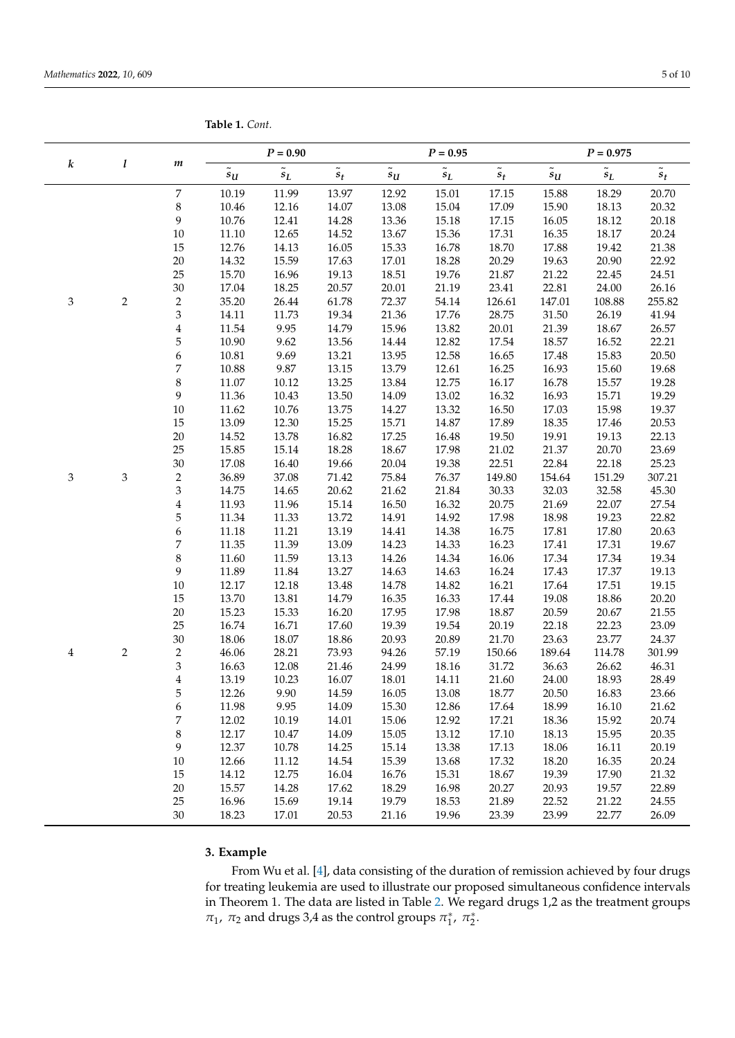<span id="page-4-1"></span>

|  | <b>Table 1.</b> Cont. |
|--|-----------------------|
|  |                       |

| $P = 0.90$<br>$P = 0.95$                                                                                                                                                                       | $P = 0.975$    |                 |
|------------------------------------------------------------------------------------------------------------------------------------------------------------------------------------------------|----------------|-----------------|
| $\boldsymbol{k}$<br>l<br>$\boldsymbol{m}$<br>$\tilde{s}_L$<br>$\tilde{s}_L$<br>$\tilde{s}_t$<br>$\widetilde{\phantom{m}}$<br>$\tilde{s}_t$<br>$\tilde{s}_U$<br>$\tilde{s}_U$<br>$\sqrt{s_{U}}$ | $\tilde{s}_L$  | $\tilde{s}_t$   |
| $\boldsymbol{7}$<br>10.19<br>11.99<br>13.97<br>12.92<br>17.15<br>15.88<br>15.01                                                                                                                | 18.29          | 20.70           |
| 8<br>10.46<br>12.16<br>14.07<br>15.04<br>17.09<br>15.90<br>13.08                                                                                                                               | 18.13          | 20.32           |
| 9<br>10.76<br>15.18<br>17.15<br>12.41<br>14.28<br>13.36<br>16.05                                                                                                                               | 18.12          | 20.18           |
| $10\,$<br>11.10<br>12.65<br>14.52<br>13.67<br>15.36<br>17.31<br>16.35                                                                                                                          | 18.17          | 20.24           |
| 15<br>16.05<br>18.70<br>12.76<br>14.13<br>15.33<br>16.78<br>17.88                                                                                                                              | 19.42          | 21.38           |
| $20\,$<br>14.32<br>15.59<br>17.63<br>17.01<br>18.28<br>20.29<br>19.63                                                                                                                          | 20.90          | 22.92           |
| 25<br>15.70<br>16.96<br>19.76<br>$21.87\,$<br>21.22<br>19.13<br>18.51                                                                                                                          | 22.45          | 24.51           |
| 30<br>23.41<br>17.04<br>18.25<br>20.57<br>20.01<br>21.19<br>22.81                                                                                                                              | 24.00          | 26.16           |
| $\overline{2}$<br>$\overline{c}$<br>35.20<br>3<br>26.44<br>61.78<br>72.37<br>54.14<br>126.61<br>147.01                                                                                         | 108.88         | 255.82          |
| 3<br>14.11<br>21.36<br>17.76<br>28.75<br>31.50<br>11.73<br>19.34                                                                                                                               | 26.19          | 41.94           |
| $\overline{4}$<br>11.54<br>9.95<br>15.96<br>20.01<br>14.79<br>13.82<br>21.39                                                                                                                   | 18.67          | 26.57           |
| 5<br>10.90<br>9.62<br>12.82<br>13.56<br>14.44<br>17.54<br>18.57                                                                                                                                | 16.52          | 22.21           |
| 6<br>10.81<br>9.69<br>13.21<br>13.95<br>12.58<br>16.65<br>17.48                                                                                                                                | 15.83          | 20.50           |
| 7<br>10.88<br>9.87<br>13.15<br>13.79<br>12.61<br>16.25<br>16.93                                                                                                                                | 15.60          | 19.68           |
| 8<br>11.07<br>10.12<br>13.25<br>13.84<br>12.75<br>16.17<br>16.78                                                                                                                               | 15.57          | 19.28           |
| 9<br>11.36<br>10.43<br>13.50<br>14.09<br>13.02<br>16.32<br>16.93                                                                                                                               | 15.71          | 19.29           |
| $10\,$<br>$10.76\,$<br>13.75<br>14.27<br>17.03<br>11.62<br>13.32<br>16.50                                                                                                                      | 15.98          | 19.37           |
| 13.09<br>12.30<br>14.87<br>17.89<br>15<br>15.25<br>15.71<br>18.35                                                                                                                              | 17.46          | 20.53           |
| $20\,$<br>19.50<br>19.91<br>14.52<br>13.78<br>16.82<br>17.25<br>16.48                                                                                                                          | 19.13          | 22.13           |
| 25<br>21.37<br>15.85<br>15.14<br>18.28<br>18.67<br>17.98<br>21.02                                                                                                                              | 20.70          | 23.69           |
| 30<br>17.08<br>16.40<br>19.38<br>22.51<br>22.84<br>19.66<br>20.04                                                                                                                              | 22.18          | 25.23           |
| $\overline{c}$<br>$\mathfrak{Z}$<br>36.89<br>76.37<br>149.80<br>154.64<br>$\ensuremath{\mathfrak{Z}}$<br>37.08<br>71.42<br>75.84                                                               | 151.29         | 307.21          |
| 3<br>14.75<br>20.62<br>21.62<br>21.84<br>30.33<br>32.03<br>14.65                                                                                                                               | 32.58          | 45.30           |
| $\boldsymbol{4}$<br>11.93<br>20.75<br>11.96<br>15.14<br>16.50<br>16.32<br>21.69                                                                                                                | 22.07          | 27.54           |
| 5<br>17.98<br>11.34<br>11.33<br>13.72<br>14.91<br>14.92<br>18.98                                                                                                                               | 19.23          | 22.82           |
| 6<br>13.19<br>16.75<br>11.18<br>11.21<br>14.41<br>14.38<br>17.81                                                                                                                               | 17.80          | 20.63           |
| $\overline{7}$<br>11.35<br>11.39<br>13.09<br>14.23<br>14.33<br>16.23<br>17.41                                                                                                                  | 17.31          | 19.67           |
| 8<br>11.60<br>11.59<br>13.13<br>14.26<br>14.34<br>16.06<br>17.34                                                                                                                               | 17.34          | 19.34           |
| 9<br>11.89<br>13.27<br>11.84<br>14.63<br>14.63<br>16.24<br>17.43                                                                                                                               | 17.37          | 19.13           |
| 10<br>12.17<br>12.18<br>14.82<br>16.21<br>13.48<br>14.78<br>17.64                                                                                                                              | 17.51          | 19.15           |
| 17.44<br>19.08<br>15<br>13.70<br>13.81<br>14.79<br>16.35<br>16.33                                                                                                                              | 18.86          | 20.20           |
| $20\,$<br>18.87<br>20.59<br>15.23<br>15.33<br>16.20<br>17.95<br>17.98                                                                                                                          | 20.67          | 21.55           |
| 25<br>16.74<br>16.71<br>17.60<br>19.39<br>19.54<br>20.19<br>22.18                                                                                                                              | 22.23          | 23.09           |
| 30<br>18.06<br>20.89<br>21.70<br>23.63<br>18.07<br>18.86<br>20.93<br>189.64                                                                                                                    | 23.77          | 24.37           |
| $\overline{c}$<br>$\overline{c}$<br>28.21<br>73.93<br>94.26<br>57.19<br>46.06<br>150.66<br>4<br>3<br>16.63<br>12.08<br>24.99<br>31.72                                                          | 114.78         | 301.99<br>46.31 |
| 18.16<br>21.46<br>36.63<br>$\overline{4}$<br>13.19<br>14.11<br>21.60<br>24.00<br>10.23<br>16.07<br>18.01                                                                                       | 26.62<br>18.93 | 28.49           |
| 5<br>9.90<br>12.26<br>14.59<br>16.05<br>13.08<br>18.77<br>20.50                                                                                                                                | 16.83          | 23.66           |
| 9.95<br>11.98<br>14.09<br>15.30<br>12.86<br>17.64<br>18.99                                                                                                                                     | 16.10          | 21.62           |
| 6<br>7<br>12.02<br>10.19<br>14.01<br>15.06<br>12.92<br>17.21<br>18.36                                                                                                                          | 15.92          | 20.74           |
| $\,$ 8 $\,$<br>12.17<br>10.47<br>14.09<br>15.05<br>13.12<br>17.10<br>18.13                                                                                                                     | 15.95          | 20.35           |
| 9<br>12.37<br>10.78<br>14.25<br>17.13<br>18.06<br>15.14<br>13.38                                                                                                                               | 16.11          | 20.19           |
| $10\,$<br>12.66<br>11.12<br>14.54<br>15.39<br>13.68<br>17.32<br>18.20                                                                                                                          | 16.35          | 20.24           |
| 12.75<br>15.31<br>19.39<br>15<br>14.12<br>16.04<br>16.76<br>18.67                                                                                                                              |                |                 |
|                                                                                                                                                                                                |                |                 |
|                                                                                                                                                                                                | 17.90          | 21.32           |
| $20\,$<br>15.57<br>14.28<br>17.62<br>18.29<br>16.98<br>20.27<br>20.93<br>25<br>16.96<br>15.69<br>19.79<br>18.53<br>21.89<br>22.52<br>19.14                                                     | 19.57<br>21.22 | 22.89<br>24.55  |

## <span id="page-4-0"></span>**3. Example**

From Wu et al. [\[4\]](#page-8-3), data consisting of the duration of remission achieved by four drugs for treating leukemia are used to illustrate our proposed simultaneous confidence intervals in Theorem 1. The data are listed in Table [2.](#page-5-0) We regard drugs 1,2 as the treatment groups *π*<sub>1</sub>, *π*<sub>2</sub> and drugs 3,4 as the control groups  $π_1^*$ ,  $π_2^*$ .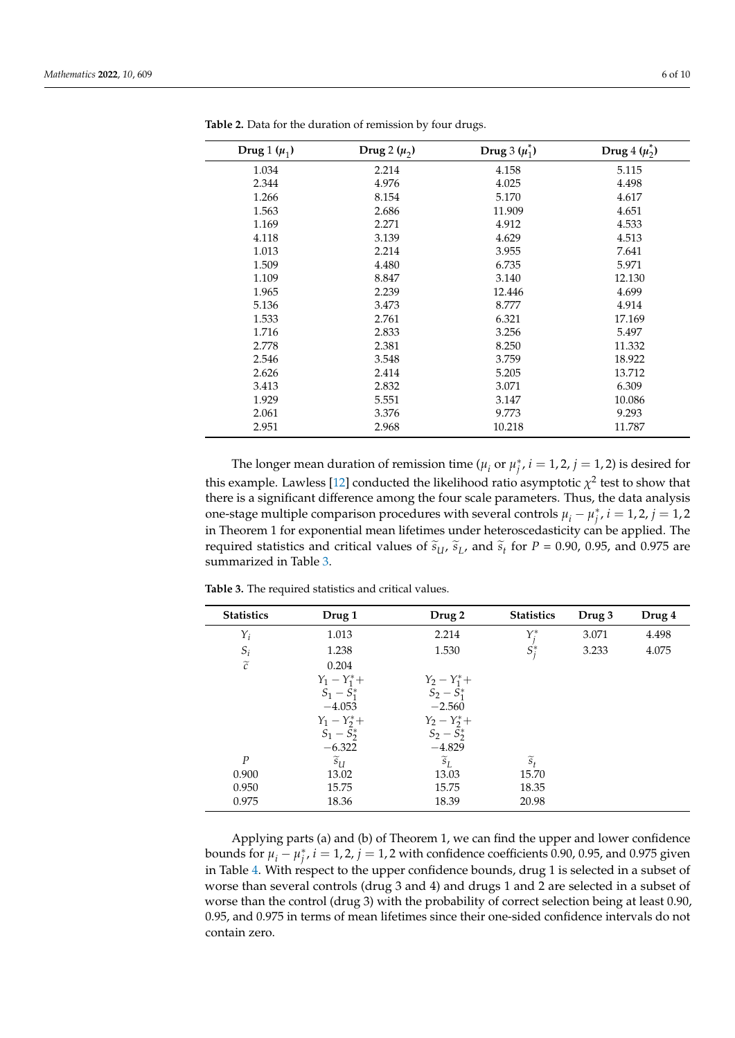| Drug 1 $(\mu_1)$ | Drug 2 $(\mu_2)$ | Drug 3 $(\mu_1^*)$ | Drug $4(\mu_2^*)$ |
|------------------|------------------|--------------------|-------------------|
| 1.034            | 2.214            | 4.158              | 5.115             |
| 2.344            | 4.976            | 4.025              | 4.498             |
| 1.266            | 8.154            | 5.170              | 4.617             |
| 1.563            | 2.686            | 11.909             | 4.651             |
| 1.169            | 2.271            | 4.912              | 4.533             |
| 4.118            | 3.139            | 4.629              | 4.513             |
| 1.013            | 2.214            | 3.955              | 7.641             |
| 1.509            | 4.480            | 6.735              | 5.971             |
| 1.109            | 8.847            | 3.140              | 12.130            |
| 1.965            | 2.239            | 12.446             | 4.699             |
| 5.136            | 3.473            | 8.777              | 4.914             |
| 1.533            | 2.761            | 6.321              | 17.169            |
| 1.716            | 2.833            | 3.256              | 5.497             |
| 2.778            | 2.381            | 8.250              | 11.332            |
| 2.546            | 3.548            | 3.759              | 18.922            |
| 2.626            | 2.414            | 5.205              | 13.712            |
| 3.413            | 2.832            | 3.071              | 6.309             |
| 1.929            | 5.551            | 3.147              | 10.086            |
| 2.061            | 3.376            | 9.773              | 9.293             |
| 2.951            | 2.968            | 10.218             | 11.787            |

<span id="page-5-0"></span>**Table 2.** Data for the duration of remission by four drugs.

The longer mean duration of remission time ( $\mu_i$  or  $\mu_j^*$ ,  $i = 1, 2$ ,  $j = 1, 2$ ) is desired for this example. Lawless [\[12\]](#page-9-0) conducted the likelihood ratio asymptotic  $\chi^2$  test to show that there is a significant difference among the four scale parameters. Thus, the data analysis one-stage multiple comparison procedures with several controls  $\mu_i - \mu_j^*$ ,  $i = 1, 2$ ,  $j = 1, 2$ in Theorem 1 for exponential mean lifetimes under heteroscedasticity can be applied. The required statistics and critical values of  $\tilde{s}_{U}$ ,  $\tilde{s}_{L}$ , and  $\tilde{s}_{t}$  for *P* = 0.90, 0.95, and 0.975 are summarized in Table 3. summarized in Table [3.](#page-5-1)

| <b>Statistics</b> | Drug 1              | Drug 2                           | <b>Statistics</b>  | Drug 3 | Drug 4 |
|-------------------|---------------------|----------------------------------|--------------------|--------|--------|
| $Y_i$             | 1.013               | 2.214                            |                    | 3.071  | 4.498  |
| $S_i$             | 1.238               | 1.530                            | $Y^*_{j}$<br>$S^*$ | 3.233  | 4.075  |
| $\widetilde{c}$   | 0.204               |                                  |                    |        |        |
|                   | $Y_1 - Y_1^* +$     | $Y_2 - Y_1^* +$<br>$S_2 - S_1^*$ |                    |        |        |
|                   | $S_1 - S_1^*$       |                                  |                    |        |        |
|                   | $-4.053$            | $-2.560$                         |                    |        |        |
|                   | $Y_1 - Y_2^* +$     | $Y_2 - Y_2^* +$                  |                    |        |        |
|                   | $S_1 - S_2^*$       | $\bar{S}_2 - \bar{S}_2^*$        |                    |        |        |
|                   | $-6.322$            | $-4.829$                         |                    |        |        |
| $\boldsymbol{P}$  | $\widetilde{s}_{U}$ | $\widetilde{s}_L$                | $\widetilde{s}_t$  |        |        |
| 0.900             | 13.02               | 13.03                            | 15.70              |        |        |
| 0.950             | 15.75               | 15.75                            | 18.35              |        |        |
| 0.975             | 18.36               | 18.39                            | 20.98              |        |        |

<span id="page-5-1"></span>**Table 3.** The required statistics and critical values.

Applying parts (a) and (b) of Theorem 1, we can find the upper and lower confidence bounds for  $\mu_i - \mu_j^*$ ,  $i = 1, 2$ ,  $j = 1, 2$  with confidence coefficients 0.90, 0.95, and 0.975 given in Table [4.](#page-6-1) With respect to the upper confidence bounds, drug 1 is selected in a subset of worse than several controls (drug 3 and 4) and drugs 1 and 2 are selected in a subset of worse than the control (drug 3) with the probability of correct selection being at least 0.90, 0.95, and 0.975 in terms of mean lifetimes since their one-sided confidence intervals do not contain zero.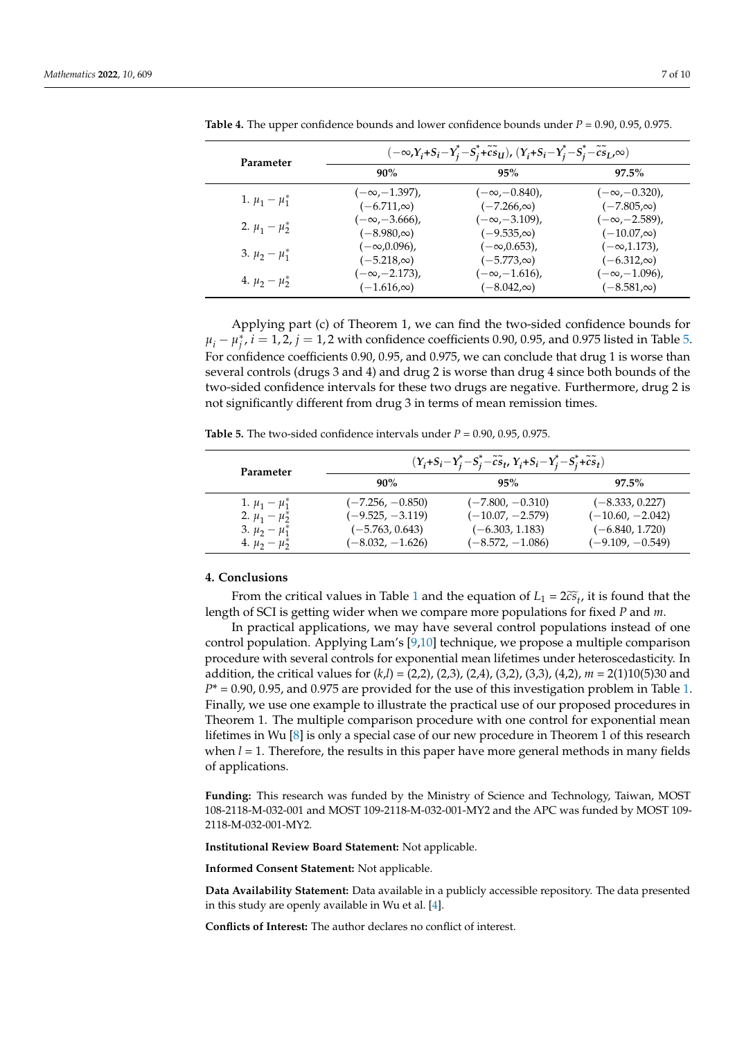| Parameter            | $(-\infty,Y_i+S_i-Y_j^*-S_j^*+\tilde{c}\tilde{s}_U)$ , $(Y_i+S_i-Y_j^*-S_j^*-\tilde{c}\tilde{s}_L,\infty)$ |                       |                       |  |  |  |
|----------------------|------------------------------------------------------------------------------------------------------------|-----------------------|-----------------------|--|--|--|
|                      | 90%                                                                                                        | 95%                   | $97.5\%$              |  |  |  |
| 1. $\mu_1 - \mu_1^*$ | $(-\infty, -1.397)$ ,                                                                                      | $(-\infty, -0.840)$ , | $(-\infty, -0.320)$ , |  |  |  |
|                      | $(-6.711,\infty)$                                                                                          | $(-7.266,\infty)$     | $(-7.805,\infty)$     |  |  |  |
| 2. $\mu_1 - \mu_2^*$ | $(-\infty, -3.666)$ ,                                                                                      | $(-\infty, -3.109)$ , | $(-\infty, -2.589)$ , |  |  |  |
|                      | $(-8.980,\infty)$                                                                                          | $(-9.535,\infty)$     | $(-10.07,\infty)$     |  |  |  |
| 3. $\mu_2 - \mu_1^*$ | $(-\infty, 0.096)$ ,                                                                                       | $(-\infty, 0.653)$ ,  | $(-\infty, 1.173)$ ,  |  |  |  |
|                      | $(-5.218, \infty)$                                                                                         | $(-5.773,\infty)$     | $(-6.312,\infty)$     |  |  |  |
| 4. $\mu_2 - \mu_2^*$ | $(-\infty, -2.173)$ ,                                                                                      | $(-\infty, -1.616)$ , | $(-\infty, -1.096)$ , |  |  |  |
|                      | $(-1.616, \infty)$                                                                                         | $(-8.042,\infty)$     | $(-8.581,\infty)$     |  |  |  |

<span id="page-6-1"></span>**Table 4.** The upper confidence bounds and lower confidence bounds under *P* = 0.90, 0.95, 0.975.

Applying part (c) of Theorem 1, we can find the two-sided confidence bounds for  $\mu_i - \mu_j^*$ ,  $i = 1, 2$ ,  $j = 1, 2$  with confidence coefficients 0.90, 0.95, and 0.975 listed in Table [5.](#page-6-2) For confidence coefficients 0.90, 0.95, and 0.975, we can conclude that drug 1 is worse than several controls (drugs 3 and 4) and drug 2 is worse than drug 4 since both bounds of the two-sided confidence intervals for these two drugs are negative. Furthermore, drug 2 is not significantly different from drug 3 in terms of mean remission times.

<span id="page-6-2"></span>**Table 5.** The two-sided confidence intervals under  $P = 0.90$ , 0.95, 0.975.

| Parameter            | $(Y_i + S_i - Y_i^* - S_i^* - \tilde{c}\tilde{s}_t, Y_i + S_i - Y_i^* - S_i^* + \tilde{c}\tilde{s}_t)$ |                    |                    |  |  |  |
|----------------------|--------------------------------------------------------------------------------------------------------|--------------------|--------------------|--|--|--|
|                      | 90%                                                                                                    | 95%                | $97.5\%$           |  |  |  |
| 1. $\mu_1 - \mu_1^*$ | $(-7.256, -0.850)$                                                                                     | $(-7.800, -0.310)$ | $(-8.333, 0.227)$  |  |  |  |
| 2. $\mu_1 - \mu_2^*$ | $(-9.525, -3.119)$                                                                                     | $(-10.07, -2.579)$ | $(-10.60, -2.042)$ |  |  |  |
| 3. $\mu_2 - \mu_1^*$ | $(-5.763, 0.643)$                                                                                      | $(-6.303, 1.183)$  | $(-6.840, 1.720)$  |  |  |  |
| 4. $\mu_2 - \mu_2^*$ | $(-8.032, -1.626)$                                                                                     | $(-8.572, -1.086)$ | $(-9.109, -0.549)$ |  |  |  |

#### <span id="page-6-0"></span>**4. Conclusions**

From the critical values in Table [1](#page-4-1) and the equation of  $L_1 = 2c\tilde{s}_t$ , it is found that the length of SCI is getting wider when we compare more populations for fixed *P* and *m*.

In practical applications, we may have several control populations instead of one control population. Applying Lam's [\[9,](#page-8-8)[10\]](#page-8-9) technique, we propose a multiple comparison procedure with several controls for exponential mean lifetimes under heteroscedasticity. In addition, the critical values for (*k*,*l*) = (2,2), (2,3), (2,4), (3,2), (3,3), (4,2), *m* = 2(1)10(5)30 and *P*\* = 0.90, 0.95, and 0.975 are provided for the use of this investigation problem in Table [1.](#page-4-1) Finally, we use one example to illustrate the practical use of our proposed procedures in Theorem 1. The multiple comparison procedure with one control for exponential mean lifetimes in Wu [\[8\]](#page-8-7) is only a special case of our new procedure in Theorem 1 of this research when  $l = 1$ . Therefore, the results in this paper have more general methods in many fields of applications.

**Funding:** This research was funded by the Ministry of Science and Technology, Taiwan, MOST 108-2118-M-032-001 and MOST 109-2118-M-032-001-MY2 and the APC was funded by MOST 109- 2118-M-032-001-MY2.

**Institutional Review Board Statement:** Not applicable.

**Informed Consent Statement:** Not applicable.

**Data Availability Statement:** Data available in a publicly accessible repository. The data presented in this study are openly available in Wu et al. [\[4\]](#page-8-3).

**Conflicts of Interest:** The author declares no conflict of interest.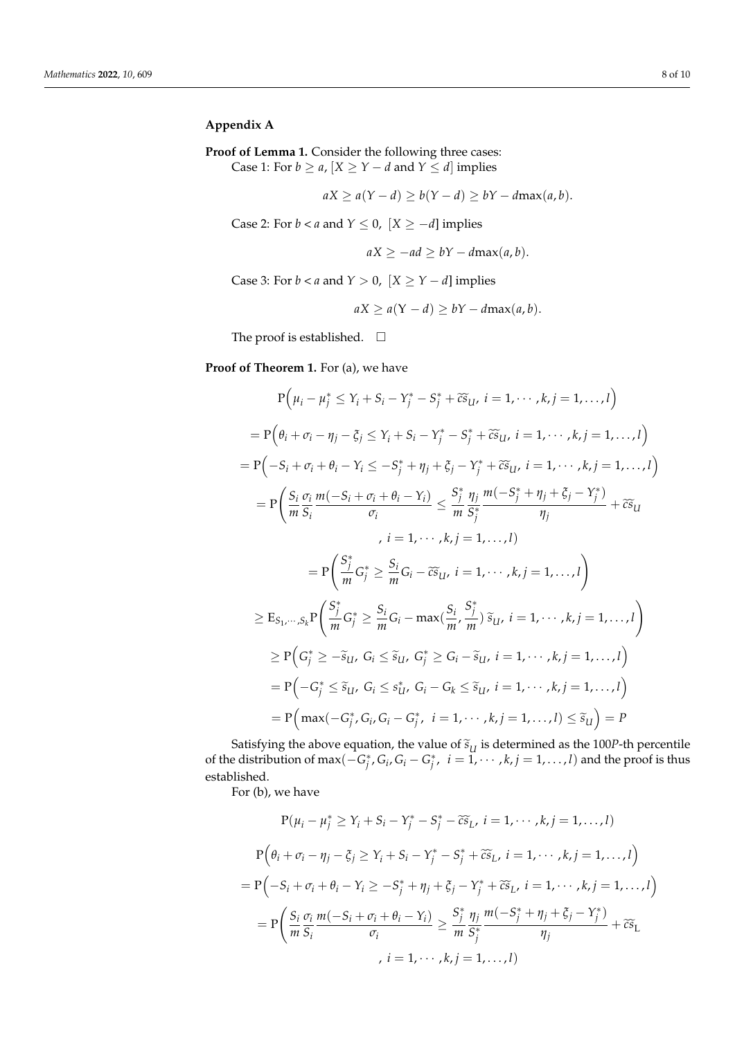## <span id="page-7-0"></span>**Appendix A**

**Proof of Lemma 1.** Consider the following three cases: Case 1: For  $b \ge a$ ,  $[X \ge Y - d$  and  $Y \le d]$  implies

$$
aX \ge a(Y - d) \ge b(Y - d) \ge bY - d\max(a, b).
$$

Case 2: For *b* < *a* and  $Y \le 0$ ,  $[X \ge -d]$  implies

$$
aX \ge -ad \ge bY - d\max(a, b).
$$

Case 3: For  $b < a$  and  $Y > 0$ ,  $[X \ge Y - d]$  implies

$$
aX \ge a(Y - d) \ge bY - d\max(a, b).
$$

The proof is established.  $\quad \Box$ 

**Proof of Theorem 1.** For (a), we have

$$
P(\mu_{i} - \mu_{j}^{*} \leq Y_{i} + S_{i} - Y_{j}^{*} - S_{j}^{*} + \widetilde{c} \widetilde{s}_{U}, i = 1, \dots, k, j = 1, \dots, l)
$$
\n
$$
= P(\theta_{i} + \sigma_{i} - \eta_{j} - \xi_{j} \leq Y_{i} + S_{i} - Y_{j}^{*} - S_{j}^{*} + \widetilde{c} \widetilde{s}_{U}, i = 1, \dots, k, j = 1, \dots, l)
$$
\n
$$
= P(-S_{i} + \sigma_{i} + \theta_{i} - Y_{i} \leq -S_{j}^{*} + \eta_{j} + \xi_{j} - Y_{j}^{*} + \widetilde{c} \widetilde{s}_{U}, i = 1, \dots, k, j = 1, \dots, l)
$$
\n
$$
= P\left(\frac{S_{i}}{m} \frac{\sigma_{i}}{S_{i}} \frac{m(-S_{i} + \sigma_{i} + \theta_{i} - Y_{i})}{\sigma_{i}} \leq \frac{S_{j}}{m} \frac{\eta_{j}}{S_{j}^{*}} \frac{m(-S_{j}^{*} + \eta_{j} + \xi_{j} - Y_{j}^{*})}{\eta_{j}} + \widetilde{c} \widetilde{s}_{U}
$$
\n
$$
, i = 1, \dots, k, j = 1, \dots, l)
$$
\n
$$
= P\left(\frac{S_{j}}{m} G_{j}^{*} \geq \frac{S_{i}}{m} G_{i} - \widetilde{c} \widetilde{s}_{U}, i = 1, \dots, k, j = 1, \dots, l\right)
$$
\n
$$
\geq E_{S_{1}, \dots, S_{k}} P\left(\frac{S_{j}^{*}}{m} G_{j}^{*} \geq \frac{S_{i}}{m} G_{i} - \max(\frac{S_{i}}{m}, \frac{S_{j}^{*}}{m}) \widetilde{s}_{U}, i = 1, \dots, k, j = 1, \dots, l\right)
$$
\n
$$
= P\left(-G_{j}^{*} \leq \widetilde{s}_{U}, G_{i} \leq \widetilde{s}_{U}, G_{j} - G_{k} \leq \widetilde{s}_{U}, i = 1, \dots, k, j = 1, \dots, l\right)
$$
\n

Satisfying the above equation, the value of  $\tilde{s}_U$  is determined as the 100*P*-th percentile<br>conditionism of max( $C^*$ ,  $C$ ,  $C$ ,  $C^*$ ,  $i = 1, \ldots, l$ ) and the nuclei thus of the distribution of max $(-G_j^*, G_i, G_i - G_j^*, i = \tilde{1}, \cdots, k, j = 1, \ldots, l)$  and the proof is thus established.

For (b), we have

$$
P(\mu_i - \mu_j^* \ge Y_i + S_i - Y_j^* - S_j^* - \widetilde{cs}_L, i = 1, \dots, k, j = 1, \dots, l)
$$
  
\n
$$
P(\theta_i + \sigma_i - \eta_j - \xi_j \ge Y_i + S_i - Y_j^* - S_j^* + \widetilde{cs}_L, i = 1, \dots, k, j = 1, \dots, l)
$$
  
\n
$$
= P\Big(-S_i + \sigma_i + \theta_i - Y_i \ge -S_j^* + \eta_j + \xi_j - Y_j^* + \widetilde{cs}_L, i = 1, \dots, k, j = 1, \dots, l\Big)
$$
  
\n
$$
= P\Big(\frac{S_i}{m} \frac{\sigma_i}{S_i} \frac{m(-S_i + \sigma_i + \theta_i - Y_i)}{\sigma_i} \ge \frac{S_j^*}{m} \frac{\eta_j}{S_j^*} \frac{m(-S_j^* + \eta_j + \xi_j - Y_j^*)}{\eta_j} + \widetilde{cs}_L
$$
  
\n
$$
i = 1, \dots, k, j = 1, \dots, l)
$$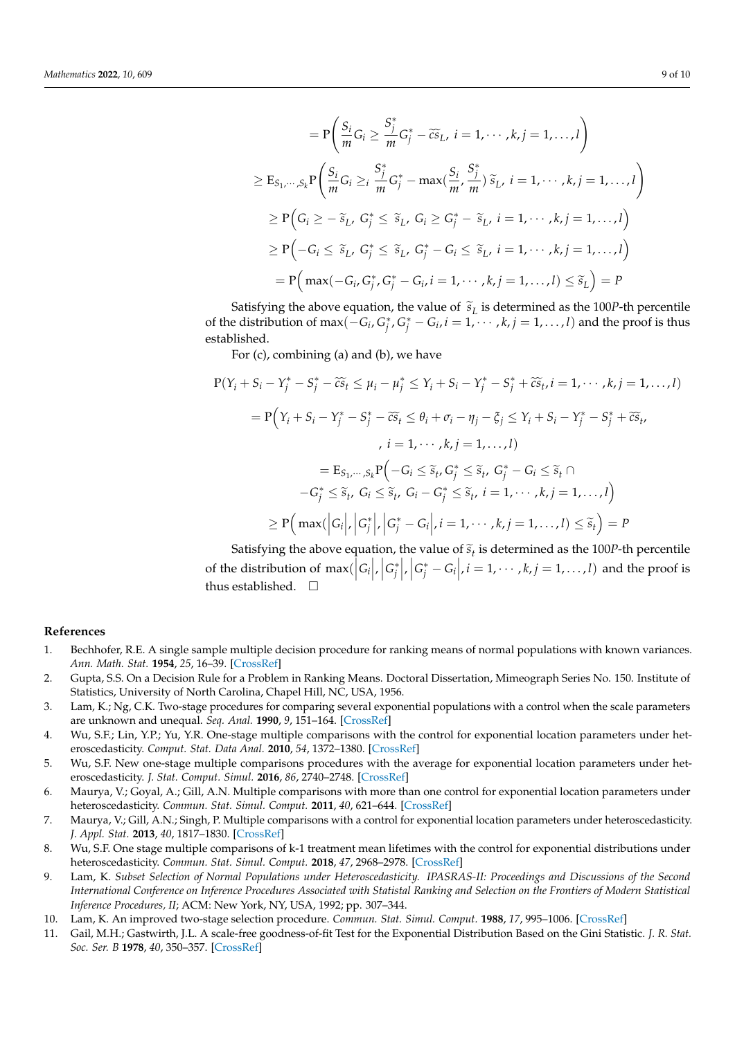$$
= P\left(\frac{S_i}{m}G_i \ge \frac{S_j^*}{m}G_j^* - \widetilde{cs}_L, i = 1, \dots, k, j = 1, \dots, l\right)
$$
  
\n
$$
\ge E_{S_1, \dots, S_k} P\left(\frac{S_i}{m}G_i \ge i \frac{S_j^*}{m}G_j^* - \max(\frac{S_i}{m}, \frac{S_j^*}{m}) \widetilde{s}_L, i = 1, \dots, k, j = 1, \dots, l\right)
$$
  
\n
$$
\ge P\left(G_i \ge -\widetilde{s}_L, G_j^* \le \widetilde{s}_L, G_i \ge G_j^* - \widetilde{s}_L, i = 1, \dots, k, j = 1, \dots, l\right)
$$
  
\n
$$
\ge P\left(-G_i \le \widetilde{s}_L, G_j^* \le \widetilde{s}_L, G_j^* - G_i \le \widetilde{s}_L, i = 1, \dots, k, j = 1, \dots, l\right)
$$
  
\n
$$
= P\left(\max(-G_i, G_j^*, G_j^* - G_i, i = 1, \dots, k, j = 1, \dots, l) \le \widetilde{s}_L\right) = P
$$

Satisfying the above equation, the value of  $\tilde{s}_L$  is determined as the 100*P*-th percentile<br>conditivition of max( $C, C^*$ ,  $C^*$ ,  $C, i = 1, \ldots, k$ ,  $i = 1, \ldots, l$ ) and the proof is thus of the distribution of max $(−G_i, G_j^*, G_j^* − G_i, i = 1, ..., k, j = 1, ..., l)$  and the proof is thus established.

For (c), combining (a) and (b), we have

$$
P(Y_i + S_i - Y_j^* - S_j^* - \widetilde{c}s_t \le \mu_i - \mu_j^* \le Y_i + S_i - Y_j^* - S_j^* + \widetilde{c}s_t, i = 1, \dots, k, j = 1, \dots, l)
$$
  
\n
$$
= P(Y_i + S_i - Y_j^* - S_j^* - \widetilde{c}s_t \le \theta_i + \sigma_i - \eta_j - \xi_j \le Y_i + S_i - Y_j^* - S_j^* + \widetilde{c}s_t,
$$
  
\n
$$
, i = 1, \dots, k, j = 1, \dots, l)
$$
  
\n
$$
= E_{S_1, \dots, S_k} P(-G_i \le \widetilde{s}_t, G_j^* \le \widetilde{s}_t, G_j^* - G_i \le \widetilde{s}_t \cap
$$
  
\n
$$
-G_j^* \le \widetilde{s}_t, G_i \le \widetilde{s}_t, G_i - G_j^* \le \widetilde{s}_t, i = 1, \dots, k, j = 1, \dots, l)
$$
  
\n
$$
\ge P\Big(\max(|G_i|, |G_j^*|, |G_j^* - G_i|, i = 1, \dots, k, j = 1, \dots, l) \le \widetilde{s}_t\Big) = P
$$

Satisfying the above equation, the value of  $\tilde{s}_t$  is determined as the 100*P*-th percentile of the distribution of  $\max(|G_i|, |G_j^*|, |G_j^*|, i = 1, \dots, k, j = 1, \dots, l)$  and the proof is thus established.

#### **References**

- <span id="page-8-0"></span>1. Bechhofer, R.E. A single sample multiple decision procedure for ranking means of normal populations with known variances. *Ann. Math. Stat.* **1954**, *25*, 16–39. [\[CrossRef\]](http://doi.org/10.1214/aoms/1177728845)
- <span id="page-8-1"></span>2. Gupta, S.S. On a Decision Rule for a Problem in Ranking Means. Doctoral Dissertation, Mimeograph Series No. 150. Institute of Statistics, University of North Carolina, Chapel Hill, NC, USA, 1956.
- <span id="page-8-2"></span>3. Lam, K.; Ng, C.K. Two-stage procedures for comparing several exponential populations with a control when the scale parameters are unknown and unequal. *Seq. Anal.* **1990**, *9*, 151–164. [\[CrossRef\]](http://doi.org/10.1080/07474949008836202)
- <span id="page-8-3"></span>4. Wu, S.F.; Lin, Y.P.; Yu, Y.R. One-stage multiple comparisons with the control for exponential location parameters under heteroscedasticity. *Comput. Stat. Data Anal.* **2010**, *54*, 1372–1380. [\[CrossRef\]](http://doi.org/10.1016/j.csda.2009.12.002)
- <span id="page-8-4"></span>5. Wu, S.F. New one-stage multiple comparisons procedures with the average for exponential location parameters under heteroscedasticity. *J. Stat. Comput. Simul.* **2016**, *86*, 2740–2748. [\[CrossRef\]](http://doi.org/10.1080/00949655.2015.1124433)
- <span id="page-8-5"></span>6. Maurya, V.; Goyal, A.; Gill, A.N. Multiple comparisons with more than one control for exponential location parameters under heteroscedasticity. *Commun. Stat. Simul. Comput.* **2011**, *40*, 621–644. [\[CrossRef\]](http://doi.org/10.1080/03610918.2010.549988)
- <span id="page-8-6"></span>7. Maurya, V.; Gill, A.N.; Singh, P. Multiple comparisons with a control for exponential location parameters under heteroscedasticity. *J. Appl. Stat.* **2013**, *40*, 1817–1830. [\[CrossRef\]](http://doi.org/10.1080/02664763.2013.796350)
- <span id="page-8-7"></span>8. Wu, S.F. One stage multiple comparisons of k-1 treatment mean lifetimes with the control for exponential distributions under heteroscedasticity. *Commun. Stat. Simul. Comput.* **2018**, *47*, 2968–2978. [\[CrossRef\]](http://doi.org/10.1080/03610918.2017.1366515)
- <span id="page-8-8"></span>9. Lam, K. *Subset Selection of Normal Populations under Heteroscedasticity. IPASRAS-II: Proceedings and Discussions of the Second International Conference on Inference Procedures Associated with Statistal Ranking and Selection on the Frontiers of Modern Statistical Inference Procedures, II*; ACM: New York, NY, USA, 1992; pp. 307–344.
- <span id="page-8-9"></span>10. Lam, K. An improved two-stage selection procedure. *Commun. Stat. Simul. Comput.* **1988**, *17*, 995–1006. [\[CrossRef\]](http://doi.org/10.1080/03610918808812708)
- <span id="page-8-10"></span>11. Gail, M.H.; Gastwirth, J.L. A scale-free goodness-of-fit Test for the Exponential Distribution Based on the Gini Statistic. *J. R. Stat. Soc. Ser. B* **1978**, *40*, 350–357. [\[CrossRef\]](http://doi.org/10.1111/j.2517-6161.1978.tb01048.x)